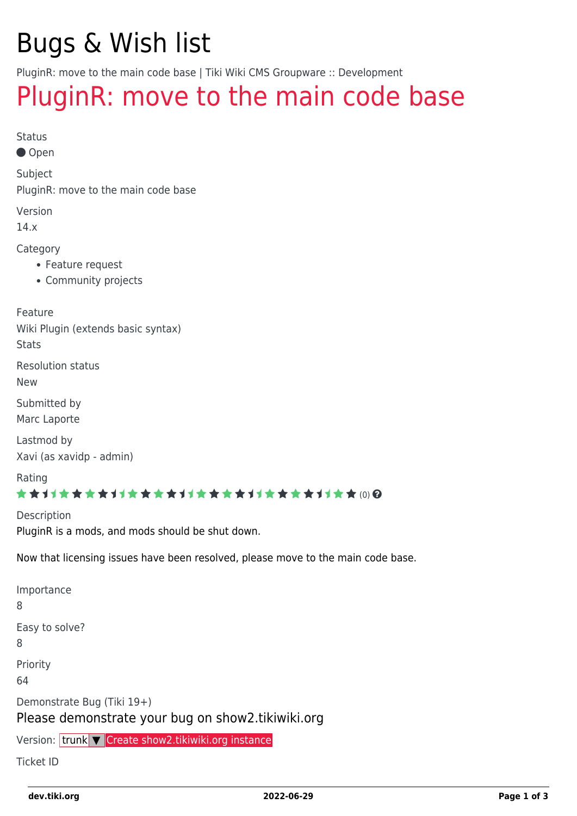# Bugs & Wish list

PluginR: move to the main code base | Tiki Wiki CMS Groupware :: Development

# [PluginR: move to the main code base](https://dev.tiki.org/item5019-PluginR-move-to-the-main-code-base)

Status

● Open

Subject

PluginR: move to the main code base

Version

14.x

Category

- Feature request
- Community projects

Feature Wiki Plugin (extends basic syntax)

**Stats** 

Resolution status

New

Submitted by Marc Laporte

Lastmod by Xavi (as xavidp - admin)

Rating

#### \*\*\*\*\*\*\*\*\*\*\*\*\*\*\*\*\*\*\*\*\*\*\*\*\*\*\*\*\*\*

**Description** PluginR is a mods, and mods should be shut down.

Now that licensing issues have been resolved, please move to the main code base.

Importance 8 Easy to solve? 8 Priority 64 Demonstrate Bug (Tiki 19+) Please demonstrate your bug on show2.tikiwiki.org

Version: trunk ▼ [Create show2.tikiwiki.org instance](#page--1-0)

Ticket ID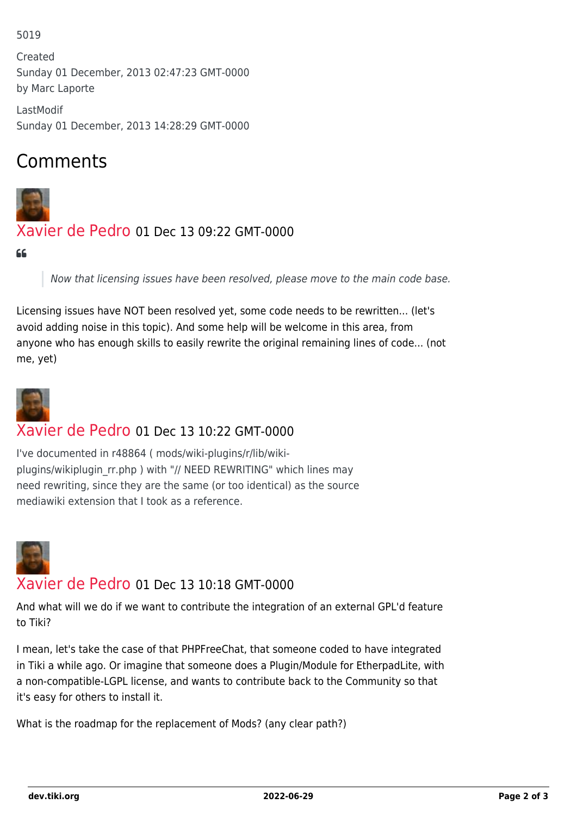#### 5019

Created Sunday 01 December, 2013 02:47:23 GMT-0000 by Marc Laporte

LastModif Sunday 01 December, 2013 14:28:29 GMT-0000

# Comments



## [Xavier de Pedro](https://dev.tiki.org/user9794) 01 Dec 13 09:22 GMT-0000

#### CC

Now that licensing issues have been resolved, please move to the main code base.

Licensing issues have NOT been resolved yet, some code needs to be rewritten... (let's avoid adding noise in this topic). And some help will be welcome in this area, from anyone who has enough skills to easily rewrite the original remaining lines of code... (not me, yet)



## [Xavier de Pedro](https://dev.tiki.org/user9794) 01 Dec 13 10:22 GMT-0000

I've documented in r48864 ( mods/wiki-plugins/r/lib/wikiplugins/wikiplugin\_rr.php ) with "// NEED REWRITING" which lines may need rewriting, since they are the same (or too identical) as the source mediawiki extension that I took as a reference.



#### [Xavier de Pedro](https://dev.tiki.org/user9794) 01 Dec 13 10:18 GMT-0000

And what will we do if we want to contribute the integration of an external GPL'd feature to Tiki?

I mean, let's take the case of that PHPFreeChat, that someone coded to have integrated in Tiki a while ago. Or imagine that someone does a Plugin/Module for EtherpadLite, with a non-compatible-LGPL license, and wants to contribute back to the Community so that it's easy for others to install it.

What is the roadmap for the replacement of Mods? (any clear path?)